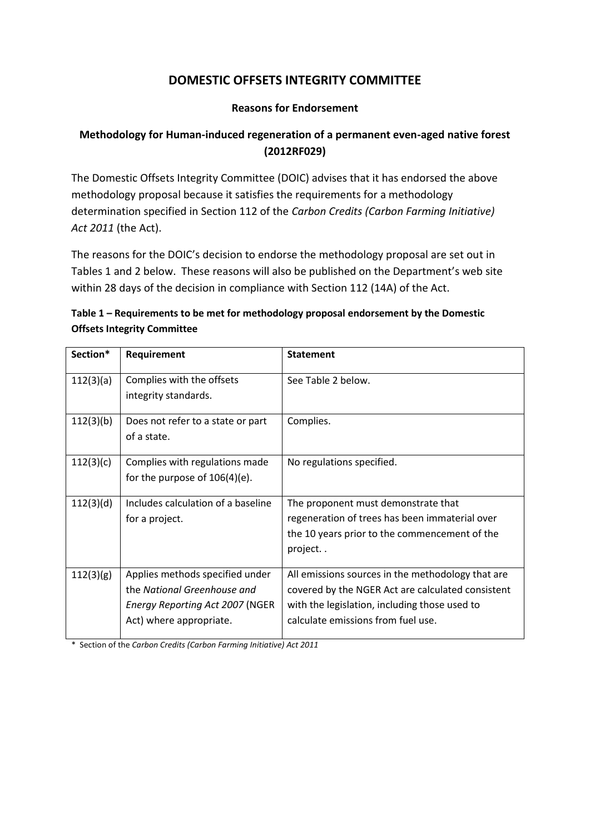## **DOMESTIC OFFSETS INTEGRITY COMMITTEE**

## **Reasons for Endorsement**

## **Methodology for Human-induced regeneration of a permanent even-aged native forest (2012RF029)**

The Domestic Offsets Integrity Committee (DOIC) advises that it has endorsed the above methodology proposal because it satisfies the requirements for a methodology determination specified in Section 112 of the *Carbon Credits (Carbon Farming Initiative) Act 2011* (the Act).

The reasons for the DOIC's decision to endorse the methodology proposal are set out in Tables 1 and 2 below. These reasons will also be published on the Department's web site within 28 days of the decision in compliance with Section 112 (14A) of the Act.

| Table 1 – Requirements to be met for methodology proposal endorsement by the Domestic |
|---------------------------------------------------------------------------------------|
| <b>Offsets Integrity Committee</b>                                                    |

| Section*  | Requirement                            | <b>Statement</b>                                  |
|-----------|----------------------------------------|---------------------------------------------------|
| 112(3)(a) | Complies with the offsets              | See Table 2 below.                                |
|           | integrity standards.                   |                                                   |
| 112(3)(b) | Does not refer to a state or part      | Complies.                                         |
|           | of a state.                            |                                                   |
| 112(3)(c) | Complies with regulations made         | No regulations specified.                         |
|           | for the purpose of $106(4)(e)$ .       |                                                   |
| 112(3)(d) | Includes calculation of a baseline     | The proponent must demonstrate that               |
|           | for a project.                         | regeneration of trees has been immaterial over    |
|           |                                        | the 10 years prior to the commencement of the     |
|           |                                        | project                                           |
| 112(3)(g) | Applies methods specified under        | All emissions sources in the methodology that are |
|           | the National Greenhouse and            | covered by the NGER Act are calculated consistent |
|           | <b>Energy Reporting Act 2007 (NGER</b> | with the legislation, including those used to     |
|           | Act) where appropriate.                | calculate emissions from fuel use.                |

\* Section of the *Carbon Credits (Carbon Farming Initiative) Act 2011*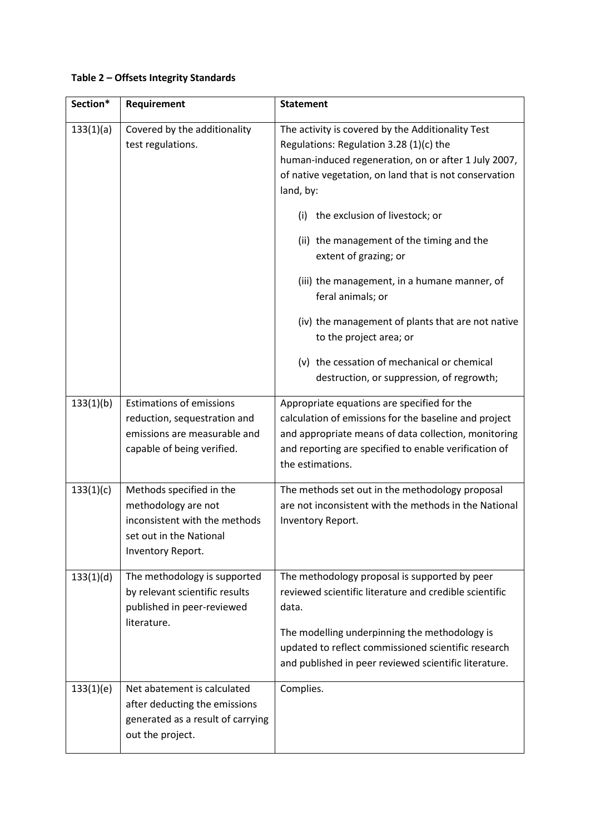## **Table 2 – Offsets Integrity Standards**

| Section*  | Requirement                                                                                                                      | <b>Statement</b>                                                                                                                                                                                                                                                                                                                                                                                                                                                                                                                               |
|-----------|----------------------------------------------------------------------------------------------------------------------------------|------------------------------------------------------------------------------------------------------------------------------------------------------------------------------------------------------------------------------------------------------------------------------------------------------------------------------------------------------------------------------------------------------------------------------------------------------------------------------------------------------------------------------------------------|
| 133(1)(a) | Covered by the additionality<br>test regulations.                                                                                | The activity is covered by the Additionality Test<br>Regulations: Regulation 3.28 (1)(c) the<br>human-induced regeneration, on or after 1 July 2007,<br>of native vegetation, on land that is not conservation<br>land, by:<br>the exclusion of livestock; or<br>(i)<br>(ii) the management of the timing and the<br>extent of grazing; or<br>(iii) the management, in a humane manner, of<br>feral animals; or<br>(iv) the management of plants that are not native<br>to the project area; or<br>(v) the cessation of mechanical or chemical |
| 133(1)(b) | <b>Estimations of emissions</b><br>reduction, sequestration and<br>emissions are measurable and<br>capable of being verified.    | destruction, or suppression, of regrowth;<br>Appropriate equations are specified for the<br>calculation of emissions for the baseline and project<br>and appropriate means of data collection, monitoring<br>and reporting are specified to enable verification of<br>the estimations.                                                                                                                                                                                                                                                         |
| 133(1)(c) | Methods specified in the<br>methodology are not<br>inconsistent with the methods<br>set out in the National<br>Inventory Report. | The methods set out in the methodology proposal<br>are not inconsistent with the methods in the National<br>Inventory Report.                                                                                                                                                                                                                                                                                                                                                                                                                  |
| 133(1)(d) | The methodology is supported<br>by relevant scientific results<br>published in peer-reviewed<br>literature.                      | The methodology proposal is supported by peer<br>reviewed scientific literature and credible scientific<br>data.<br>The modelling underpinning the methodology is<br>updated to reflect commissioned scientific research<br>and published in peer reviewed scientific literature.                                                                                                                                                                                                                                                              |
| 133(1)(e) | Net abatement is calculated<br>after deducting the emissions<br>generated as a result of carrying<br>out the project.            | Complies.                                                                                                                                                                                                                                                                                                                                                                                                                                                                                                                                      |